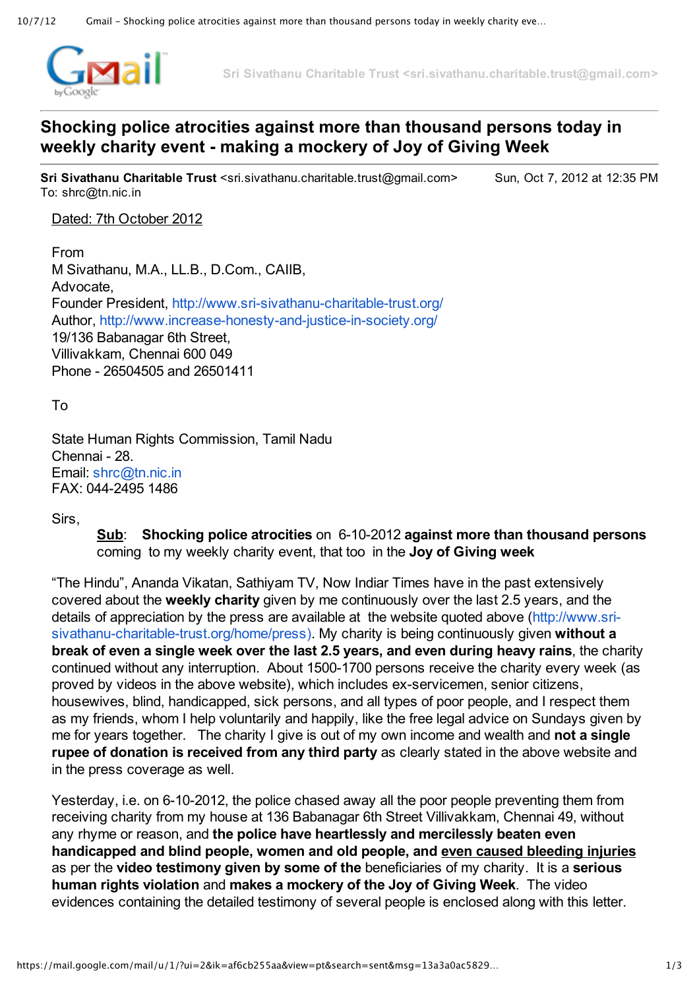

**Sri Sivathanu Charitable Trust <sri.sivathanu.charitable.trust@gmail.com>**

## **Shocking police atrocities against more than thousand persons today in weekly charity event making a mockery of Joy of Giving Week**

**Sri Sivathanu Charitable Trust** <sri.sivathanu.charitable.trust@gmail.com> Sun, Oct 7, 2012 at 12:35 PM To: shrc@tn.nic.in

## Dated: 7th October 2012

From M Sivathanu, M.A., LL.B., D.Com., CAIIB, Advocate, Founder President, http://www.sri-sivathanu-charitable-trust.org/ Author, http://www.increase-honesty-and-justice-in-society.org/ 19/136 Babanagar 6th Street, Villivakkam, Chennai 600 049 Phone 26504505 and 26501411

To

State Human Rights Commission, Tamil Nadu Chennai - 28. Email: [shrc@tn.nic.in](mailto:shrc@tn.nic.in) FAX: 044-2495 1486

Sirs,

**Sub**: **Shocking police atrocities** on 6102012 **against more than thousand persons** coming to my weekly charity event, that too in the **Joy of Giving week**

"The Hindu", Ananda Vikatan, Sathiyam TV, Now Indiar Times have in the past extensively covered about the **weekly charity** given by me continuously over the last 2.5 years, and the details of appreciation by the press are available at the website quoted above (http://www.srisivathanu-charitable-trust.org/home/press). My charity is being continuously given without a **break of even a single week over the last 2.5 years, and even during heavy rains**, the charity continued without any interruption. About 1500-1700 persons receive the charity every week (as proved by videos in the above website), which includes ex-servicemen, senior citizens, housewives, blind, handicapped, sick persons, and all types of poor people, and I respect them as my friends, whom I help voluntarily and happily, like the free legal advice on Sundays given by me for years together. The charity I give is out of my own income and wealth and **not a single rupee of donation is received from any third party** as clearly stated in the above website and in the press coverage as well.

Yesterday, i.e. on 6-10-2012, the police chased away all the poor people preventing them from receiving charity from my house at 136 Babanagar 6th Street Villivakkam, Chennai 49, without any rhyme or reason, and **the police have heartlessly and mercilessly beaten even handicapped and blind people, women and old people, and even caused bleeding injuries** as per the **video testimony given by some of the** beneficiaries of my charity. It is a **serious human rights violation** and **makes a mockery of the Joy of Giving Week**. The video evidences containing the detailed testimony of several people is enclosed along with this letter.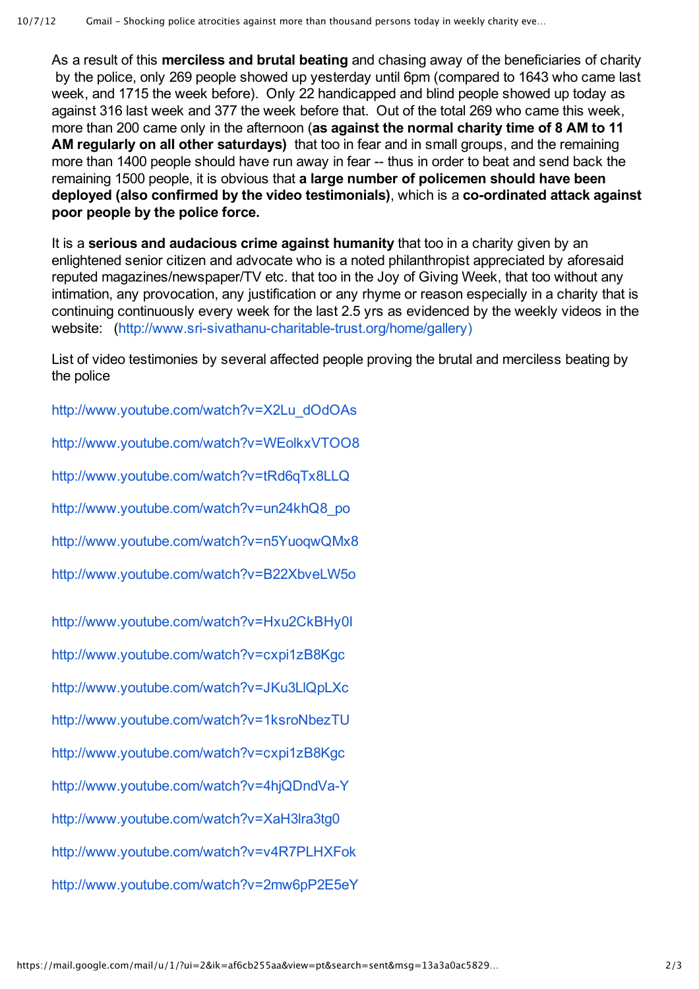As a result of this **merciless and brutal beating** and chasing away of the beneficiaries of charity by the police, only 269 people showed up yesterday until 6pm (compared to 1643 who came last week, and 1715 the week before). Only 22 handicapped and blind people showed up today as against 316 last week and 377 the week before that. Out of the total 269 who came this week, more than 200 came only in the afternoon (**as against the normal charity time of 8 AM to 11 AM regularly on all other saturdays)** that too in fear and in small groups, and the remaining more than 1400 people should have run away in fear -- thus in order to beat and send back the remaining 1500 people, it is obvious that **a large number of policemen should have been deployed** (also confirmed by the video testimonials), which is a co-ordinated attack against **poor people by the police force.**

It is a **serious and audacious crime against humanity** that too in a charity given by an enlightened senior citizen and advocate who is a noted philanthropist appreciated by aforesaid reputed magazines/newspaper/TV etc. that too in the Joy of Giving Week, that too without any intimation, any provocation, any justification or any rhyme or reason especially in a charity that is continuing continuously every week for the last 2.5 yrs as evidenced by the weekly videos in the website: (http://www.sri-sivathanu-charitable-trust.org/home/gallery)

List of video testimonies by several affected people proving the brutal and merciless beating by the police

[http://www.youtube.com/watch?v=X2Lu\\_dOdOAs](http://www.youtube.com/watch?v=X2Lu_dOdOAs)

<http://www.youtube.com/watch?v=WEolkxVTOO8>

<http://www.youtube.com/watch?v=tRd6qTx8LLQ>

[http://www.youtube.com/watch?v=un24khQ8\\_po](http://www.youtube.com/watch?v=un24khQ8_po&feature=plcp)

<http://www.youtube.com/watch?v=n5YuoqwQMx8>

<http://www.youtube.com/watch?v=B22XbveLW5o>

<http://www.youtube.com/watch?v=Hxu2CkBHy0I>

<http://www.youtube.com/watch?v=cxpi1zB8Kgc>

[http://www.youtube.com/watch?v=JKu3LlQpLXc](http://www.youtube.com/watch?v=JKu3LlQpLXc&feature=plcp)

<http://www.youtube.com/watch?v=1ksroNbezTU>

<http://www.youtube.com/watch?v=cxpi1zB8Kgc>

http://www.youtube.com/watch?v=4hjQDndVa-Y

[http://www.youtube.com/watch?v=XaH3lra3tg0](http://www.youtube.com/watch?v=XaH3lra3tg0&feature=plcp)

[http://www.youtube.com/watch?v=v4R7PLHXFok](http://www.youtube.com/watch?v=v4R7PLHXFok&feature=plcp)

<http://www.youtube.com/watch?v=2mw6pP2E5eY>